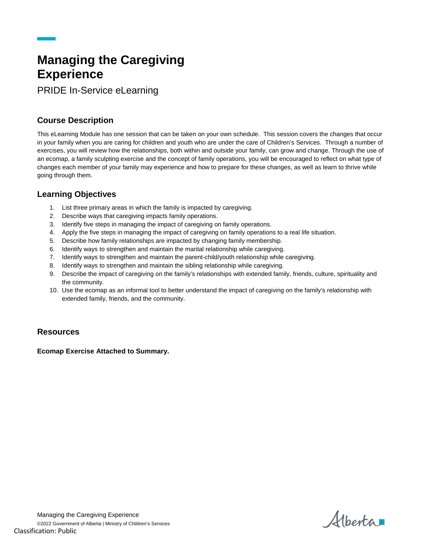# **Managing the Caregiving Experience**

PRIDE In-Service eLearning

## **Course Description**

This eLearning Module has one session that can be taken on your own schedule. This session covers the changes that occur in your family when you are caring for children and youth who are under the care of Children's Services. Through a number of exercises, you will review how the relationships, both within and outside your family, can grow and change. Through the use of an ecomap, a family sculpting exercise and the concept of family operations, you will be encouraged to reflect on what type of changes each member of your family may experience and how to prepare for these changes, as well as learn to thrive while going through them.

#### **Learning Objectives**

- 1. List three primary areas in which the family is impacted by caregiving.
- 2. Describe ways that caregiving impacts family operations.
- 3. Identify five steps in managing the impact of caregiving on family operations.
- 4. Apply the five steps in managing the impact of caregiving on family operations to a real life situation.
- 5. Describe how family relationships are impacted by changing family membership.
- 6. Identify ways to strengthen and maintain the marital relationship while caregiving.
- 7. Identify ways to strengthen and maintain the parent-child/youth relationship while caregiving.
- 8. Identify ways to strengthen and maintain the sibling relationship while caregiving.
- 9. Describe the impact of caregiving on the family's relationships with extended family, friends, culture, spirituality and the community.
- 10. Use the ecomap as an informal tool to better understand the impact of caregiving on the family's relationship with extended family, friends, and the community.

#### **Resources**

**Ecomap Exercise Attached to Summary.** 

Albertar